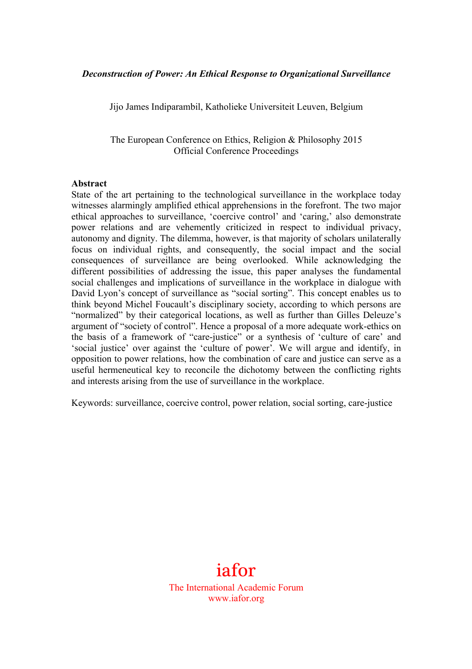#### *Deconstruction of Power: An Ethical Response to Organizational Surveillance*

Jijo James Indiparambil, Katholieke Universiteit Leuven, Belgium

The European Conference on Ethics, Religion & Philosophy 2015 Official Conference Proceedings

#### **Abstract**

State of the art pertaining to the technological surveillance in the workplace today witnesses alarmingly amplified ethical apprehensions in the forefront. The two major ethical approaches to surveillance, 'coercive control' and 'caring,' also demonstrate power relations and are vehemently criticized in respect to individual privacy, autonomy and dignity. The dilemma, however, is that majority of scholars unilaterally focus on individual rights, and consequently, the social impact and the social consequences of surveillance are being overlooked. While acknowledging the different possibilities of addressing the issue, this paper analyses the fundamental social challenges and implications of surveillance in the workplace in dialogue with David Lyon's concept of surveillance as "social sorting". This concept enables us to think beyond Michel Foucault's disciplinary society, according to which persons are "normalized" by their categorical locations, as well as further than Gilles Deleuze's argument of "society of control". Hence a proposal of a more adequate work-ethics on the basis of a framework of "care-justice" or a synthesis of 'culture of care' and 'social justice' over against the 'culture of power'. We will argue and identify, in opposition to power relations, how the combination of care and justice can serve as a useful hermeneutical key to reconcile the dichotomy between the conflicting rights and interests arising from the use of surveillance in the workplace.

Keywords: surveillance, coercive control, power relation, social sorting, care-justice

# iafor

The International Academic Forum www.iafor.org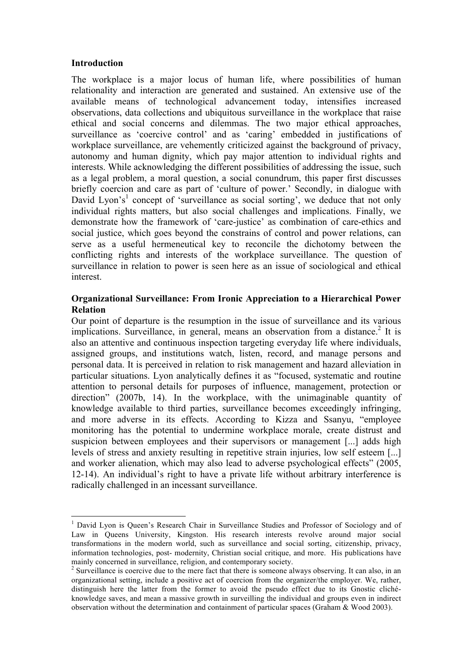## **Introduction**

The workplace is a major locus of human life, where possibilities of human relationality and interaction are generated and sustained. An extensive use of the available means of technological advancement today, intensifies increased observations, data collections and ubiquitous surveillance in the workplace that raise ethical and social concerns and dilemmas. The two major ethical approaches, surveillance as 'coercive control' and as 'caring' embedded in justifications of workplace surveillance, are vehemently criticized against the background of privacy, autonomy and human dignity, which pay major attention to individual rights and interests. While acknowledging the different possibilities of addressing the issue, such as a legal problem, a moral question, a social conundrum, this paper first discusses briefly coercion and care as part of 'culture of power.' Secondly, in dialogue with David Lyon's<sup>1</sup> concept of 'surveillance as social sorting', we deduce that not only individual rights matters, but also social challenges and implications. Finally, we demonstrate how the framework of 'care-justice' as combination of care-ethics and social justice, which goes beyond the constrains of control and power relations, can serve as a useful hermeneutical key to reconcile the dichotomy between the conflicting rights and interests of the workplace surveillance. The question of surveillance in relation to power is seen here as an issue of sociological and ethical interest.

## **Organizational Surveillance: From Ironic Appreciation to a Hierarchical Power Relation**

Our point of departure is the resumption in the issue of surveillance and its various implications. Surveillance, in general, means an observation from a distance.<sup>2</sup> It is also an attentive and continuous inspection targeting everyday life where individuals, assigned groups, and institutions watch, listen, record, and manage persons and personal data. It is perceived in relation to risk management and hazard alleviation in particular situations. Lyon analytically defines it as "focused, systematic and routine attention to personal details for purposes of influence, management, protection or direction" (2007b, 14). In the workplace, with the unimaginable quantity of knowledge available to third parties, surveillance becomes exceedingly infringing, and more adverse in its effects. According to Kizza and Ssanyu, "employee monitoring has the potential to undermine workplace morale, create distrust and suspicion between employees and their supervisors or management [...] adds high levels of stress and anxiety resulting in repetitive strain injuries, low self esteem [...] and worker alienation, which may also lead to adverse psychological effects" (2005, 12-14). An individual's right to have a private life without arbitrary interference is radically challenged in an incessant surveillance.

<sup>&</sup>lt;sup>1</sup> David Lyon is Queen's Research Chair in Surveillance Studies and Professor of Sociology and of Law in Queens University, Kingston. His research interests revolve around major social transformations in the modern world, such as surveillance and social sorting, citizenship, privacy, information technologies, post- modernity, Christian social critique, and more. His publications have mainly concerned in surveillance, religion, and contemporary society.

<sup>&</sup>lt;sup>2</sup> Surveillance is coercive due to the mere fact that there is someone always observing. It can also, in an organizational setting, include a positive act of coercion from the organizer/the employer. We, rather, distinguish here the latter from the former to avoid the pseudo effect due to its Gnostic clichéknowledge saves, and mean a massive growth in surveilling the individual and groups even in indirect observation without the determination and containment of particular spaces (Graham & Wood 2003).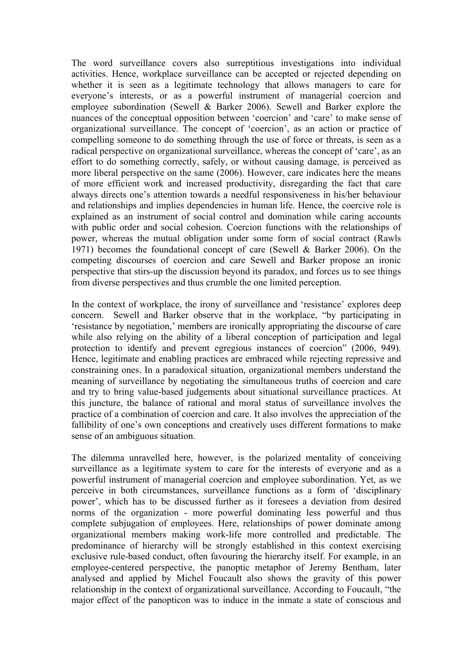The word surveillance covers also surreptitious investigations into individual activities. Hence, workplace surveillance can be accepted or rejected depending on whether it is seen as a legitimate technology that allows managers to care for everyone's interests, or as a powerful instrument of managerial coercion and employee subordination (Sewell & Barker 2006). Sewell and Barker explore the nuances of the conceptual opposition between 'coercion' and 'care' to make sense of organizational surveillance. The concept of 'coercion', as an action or practice of compelling someone to do something through the use of force or threats, is seen as a radical perspective on organizational surveillance, whereas the concept of 'care', as an effort to do something correctly, safely, or without causing damage, is perceived as more liberal perspective on the same (2006). However, care indicates here the means of more efficient work and increased productivity, disregarding the fact that care always directs one's attention towards a needful responsiveness in his/her behaviour and relationships and implies dependencies in human life. Hence, the coercive role is explained as an instrument of social control and domination while caring accounts with public order and social cohesion. Coercion functions with the relationships of power, whereas the mutual obligation under some form of social contract (Rawls 1971) becomes the foundational concept of care (Sewell & Barker 2006). On the competing discourses of coercion and care Sewell and Barker propose an ironic perspective that stirs-up the discussion beyond its paradox, and forces us to see things from diverse perspectives and thus crumble the one limited perception.

In the context of workplace, the irony of surveillance and 'resistance' explores deep concern. Sewell and Barker observe that in the workplace, "by participating in 'resistance by negotiation,' members are ironically appropriating the discourse of care while also relying on the ability of a liberal conception of participation and legal protection to identify and prevent egregious instances of coercion" (2006, 949). Hence, legitimate and enabling practices are embraced while rejecting repressive and constraining ones. In a paradoxical situation, organizational members understand the meaning of surveillance by negotiating the simultaneous truths of coercion and care and try to bring value-based judgements about situational surveillance practices. At this juncture, the balance of rational and moral status of surveillance involves the practice of a combination of coercion and care. It also involves the appreciation of the fallibility of one's own conceptions and creatively uses different formations to make sense of an ambiguous situation.

The dilemma unravelled here, however, is the polarized mentality of conceiving surveillance as a legitimate system to care for the interests of everyone and as a powerful instrument of managerial coercion and employee subordination. Yet, as we perceive in both circumstances, surveillance functions as a form of 'disciplinary power', which has to be discussed further as it foresees a deviation from desired norms of the organization - more powerful dominating less powerful and thus complete subjugation of employees. Here, relationships of power dominate among organizational members making work-life more controlled and predictable. The predominance of hierarchy will be strongly established in this context exercising exclusive rule-based conduct, often favouring the hierarchy itself. For example, in an employee-centered perspective, the panoptic metaphor of Jeremy Bentham, later analysed and applied by Michel Foucault also shows the gravity of this power relationship in the context of organizational surveillance. According to Foucault, "the major effect of the panopticon was to induce in the inmate a state of conscious and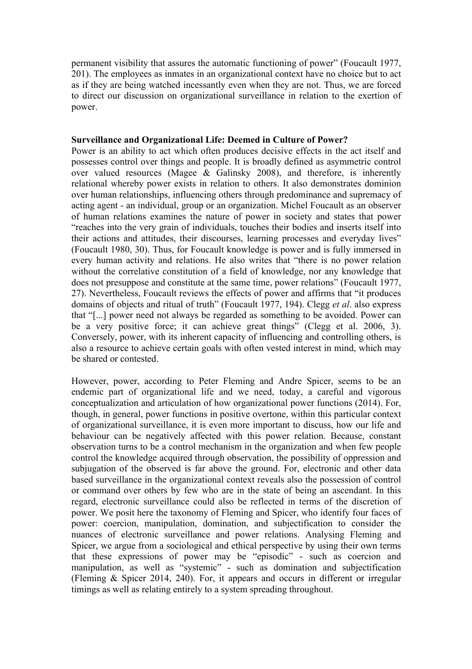permanent visibility that assures the automatic functioning of power" (Foucault 1977, 201). The employees as inmates in an organizational context have no choice but to act as if they are being watched incessantly even when they are not. Thus, we are forced to direct our discussion on organizational surveillance in relation to the exertion of power.

### **Surveillance and Organizational Life: Deemed in Culture of Power?**

Power is an ability to act which often produces decisive effects in the act itself and possesses control over things and people. It is broadly defined as asymmetric control over valued resources (Magee & Galinsky 2008), and therefore, is inherently relational whereby power exists in relation to others. It also demonstrates dominion over human relationships, influencing others through predominance and supremacy of acting agent - an individual, group or an organization. Michel Foucault as an observer of human relations examines the nature of power in society and states that power "reaches into the very grain of individuals, touches their bodies and inserts itself into their actions and attitudes, their discourses, learning processes and everyday lives" (Foucault 1980, 30). Thus, for Foucault knowledge is power and is fully immersed in every human activity and relations. He also writes that "there is no power relation without the correlative constitution of a field of knowledge, nor any knowledge that does not presuppose and constitute at the same time, power relations" (Foucault 1977, 27). Nevertheless, Foucault reviews the effects of power and affirms that "it produces domains of objects and ritual of truth" (Foucault 1977, 194). Clegg *et al*. also express that "[...] power need not always be regarded as something to be avoided. Power can be a very positive force; it can achieve great things" (Clegg et al. 2006, 3). Conversely, power, with its inherent capacity of influencing and controlling others, is also a resource to achieve certain goals with often vested interest in mind, which may be shared or contested.

However, power, according to Peter Fleming and Andre Spicer, seems to be an endemic part of organizational life and we need, today, a careful and vigorous conceptualization and articulation of how organizational power functions (2014). For, though, in general, power functions in positive overtone, within this particular context of organizational surveillance, it is even more important to discuss, how our life and behaviour can be negatively affected with this power relation. Because, constant observation turns to be a control mechanism in the organization and when few people control the knowledge acquired through observation, the possibility of oppression and subjugation of the observed is far above the ground. For, electronic and other data based surveillance in the organizational context reveals also the possession of control or command over others by few who are in the state of being an ascendant. In this regard, electronic surveillance could also be reflected in terms of the discretion of power. We posit here the taxonomy of Fleming and Spicer, who identify four faces of power: coercion, manipulation, domination, and subjectification to consider the nuances of electronic surveillance and power relations. Analysing Fleming and Spicer, we argue from a sociological and ethical perspective by using their own terms that these expressions of power may be "episodic" - such as coercion and manipulation, as well as "systemic" - such as domination and subjectification (Fleming & Spicer 2014, 240). For, it appears and occurs in different or irregular timings as well as relating entirely to a system spreading throughout.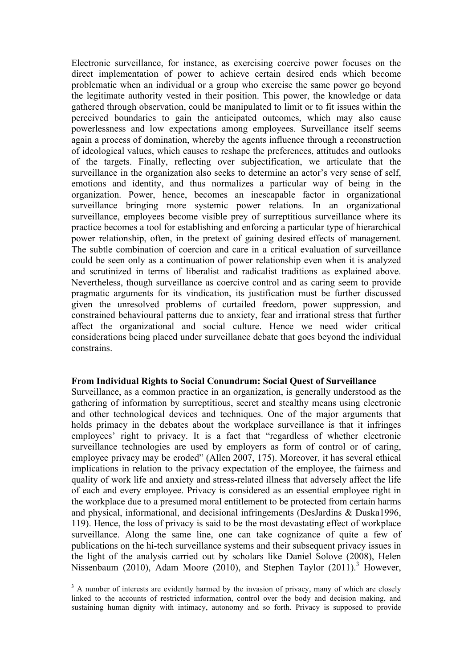Electronic surveillance, for instance, as exercising coercive power focuses on the direct implementation of power to achieve certain desired ends which become problematic when an individual or a group who exercise the same power go beyond the legitimate authority vested in their position. This power, the knowledge or data gathered through observation, could be manipulated to limit or to fit issues within the perceived boundaries to gain the anticipated outcomes, which may also cause powerlessness and low expectations among employees. Surveillance itself seems again a process of domination, whereby the agents influence through a reconstruction of ideological values, which causes to reshape the preferences, attitudes and outlooks of the targets. Finally, reflecting over subjectification, we articulate that the surveillance in the organization also seeks to determine an actor's very sense of self, emotions and identity, and thus normalizes a particular way of being in the organization. Power, hence, becomes an inescapable factor in organizational surveillance bringing more systemic power relations. In an organizational surveillance, employees become visible prey of surreptitious surveillance where its practice becomes a tool for establishing and enforcing a particular type of hierarchical power relationship, often, in the pretext of gaining desired effects of management. The subtle combination of coercion and care in a critical evaluation of surveillance could be seen only as a continuation of power relationship even when it is analyzed and scrutinized in terms of liberalist and radicalist traditions as explained above. Nevertheless, though surveillance as coercive control and as caring seem to provide pragmatic arguments for its vindication, its justification must be further discussed given the unresolved problems of curtailed freedom, power suppression, and constrained behavioural patterns due to anxiety, fear and irrational stress that further affect the organizational and social culture. Hence we need wider critical considerations being placed under surveillance debate that goes beyond the individual constrains.

#### **From Individual Rights to Social Conundrum: Social Quest of Surveillance**

Surveillance, as a common practice in an organization, is generally understood as the gathering of information by surreptitious, secret and stealthy means using electronic and other technological devices and techniques. One of the major arguments that holds primacy in the debates about the workplace surveillance is that it infringes employees' right to privacy. It is a fact that "regardless of whether electronic surveillance technologies are used by employers as form of control or of caring, employee privacy may be eroded" (Allen 2007, 175). Moreover, it has several ethical implications in relation to the privacy expectation of the employee, the fairness and quality of work life and anxiety and stress-related illness that adversely affect the life of each and every employee. Privacy is considered as an essential employee right in the workplace due to a presumed moral entitlement to be protected from certain harms and physical, informational, and decisional infringements (DesJardins & Duska1996, 119). Hence, the loss of privacy is said to be the most devastating effect of workplace surveillance. Along the same line, one can take cognizance of quite a few of publications on the hi-tech surveillance systems and their subsequent privacy issues in the light of the analysis carried out by scholars like Daniel Solove (2008), Helen Nissenbaum (2010), Adam Moore (2010), and Stephen Taylor (2011).<sup>3</sup> However,

<sup>&</sup>lt;sup>3</sup> A number of interests are evidently harmed by the invasion of privacy, many of which are closely linked to the accounts of restricted information, control over the body and decision making, and sustaining human dignity with intimacy, autonomy and so forth. Privacy is supposed to provide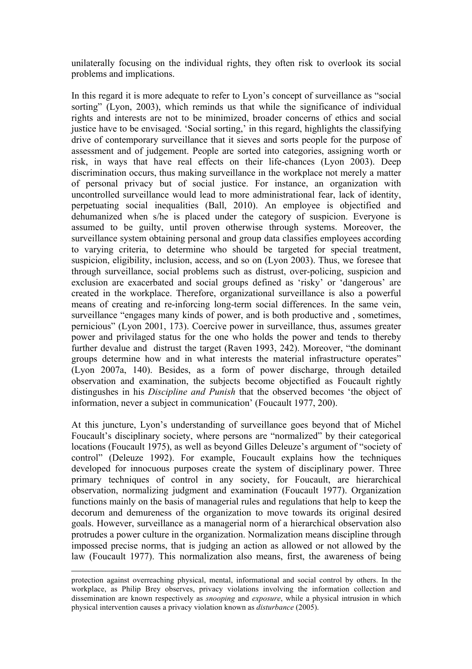unilaterally focusing on the individual rights, they often risk to overlook its social problems and implications.

In this regard it is more adequate to refer to Lyon's concept of surveillance as "social sorting" (Lyon, 2003), which reminds us that while the significance of individual rights and interests are not to be minimized, broader concerns of ethics and social justice have to be envisaged. 'Social sorting,' in this regard, highlights the classifying drive of contemporary surveillance that it sieves and sorts people for the purpose of assessment and of judgement. People are sorted into categories, assigning worth or risk, in ways that have real effects on their life-chances (Lyon 2003). Deep discrimination occurs, thus making surveillance in the workplace not merely a matter of personal privacy but of social justice. For instance, an organization with uncontrolled surveillance would lead to more administrational fear, lack of identity, perpetuating social inequalities (Ball, 2010). An employee is objectified and dehumanized when s/he is placed under the category of suspicion. Everyone is assumed to be guilty, until proven otherwise through systems. Moreover, the surveillance system obtaining personal and group data classifies employees according to varying criteria, to determine who should be targeted for special treatment, suspicion, eligibility, inclusion, access, and so on (Lyon 2003). Thus, we foresee that through surveillance, social problems such as distrust, over-policing, suspicion and exclusion are exacerbated and social groups defined as 'risky' or 'dangerous' are created in the workplace. Therefore, organizational surveillance is also a powerful means of creating and re-inforcing long-term social differences. In the same vein, surveillance "engages many kinds of power, and is both productive and , sometimes, pernicious" (Lyon 2001, 173). Coercive power in surveillance, thus, assumes greater power and privilaged status for the one who holds the power and tends to thereby further devalue and distrust the target (Raven 1993, 242). Moreover, "the dominant groups determine how and in what interests the material infrastructure operates" (Lyon 2007a, 140). Besides, as a form of power discharge, through detailed observation and examination, the subjects become objectified as Foucault rightly distingushes in his *Discipline and Punish* that the observed becomes 'the object of information, never a subject in communication' (Foucault 1977, 200).

At this juncture, Lyon's understanding of surveillance goes beyond that of Michel Foucault's disciplinary society, where persons are "normalized" by their categorical locations (Foucault 1975), as well as beyond Gilles Deleuze's argument of "society of control" (Deleuze 1992). For example, Foucault explains how the techniques developed for innocuous purposes create the system of disciplinary power. Three primary techniques of control in any society, for Foucault, are hierarchical observation, normalizing judgment and examination (Foucault 1977). Organization functions mainly on the basis of managerial rules and regulations that help to keep the decorum and demureness of the organization to move towards its original desired goals. However, surveillance as a managerial norm of a hierarchical observation also protrudes a power culture in the organization. Normalization means discipline through impossed precise norms, that is judging an action as allowed or not allowed by the law (Foucault 1977). This normalization also means, first, the awareness of being

protection against overreaching physical, mental, informational and social control by others. In the workplace, as Philip Brey observes, privacy violations involving the information collection and dissemination are known respectively as *snooping* and *exposure*, while a physical intrusion in which physical intervention causes a privacy violation known as *disturbance* (2005).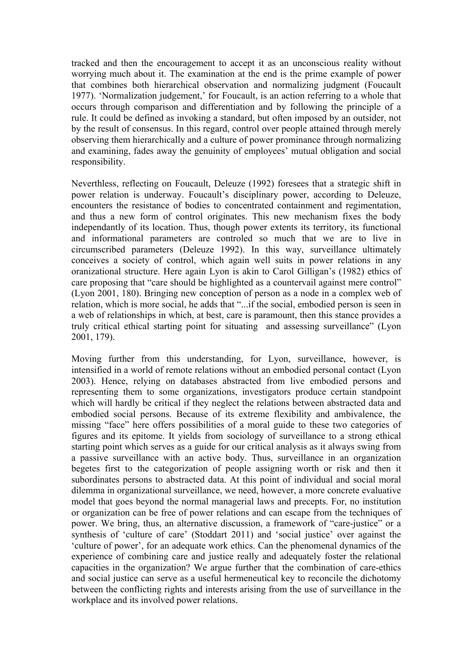tracked and then the encouragement to accept it as an unconscious reality without worrying much about it. The examination at the end is the prime example of power that combines both hierarchical observation and normalizing judgment (Foucault 1977). 'Normalization judgement,' for Foucault, is an action referring to a whole that occurs through comparison and differentiation and by following the principle of a rule. It could be defined as invoking a standard, but often imposed by an outsider, not by the result of consensus. In this regard, control over people attained through merely observing them hierarchically and a culture of power prominance through normalizing and examining, fades away the genuinity of employees' mutual obligation and social responsibility.

Neverthless, reflecting on Foucault, Deleuze (1992) foresees that a strategic shift in power relation is underway. Foucault's disciplinary power, according to Deleuze, encounters the resistance of bodies to concentrated containment and regimentation, and thus a new form of control originates. This new mechanism fixes the body independantly of its location. Thus, though power extents its territory, its functional and informational parameters are controled so much that we are to live in circumscribed parameters (Deleuze 1992). In this way, surveillance ultimately conceives a society of control, which again well suits in power relations in any oranizational structure. Here again Lyon is akin to Carol Gilligan's (1982) ethics of care proposing that "care should be highlighted as a countervail against mere control" (Lyon 2001, 180). Bringing new conception of person as a node in a complex web of relation, which is more social, he adds that "...if the social, embodied person is seen in a web of relationships in which, at best, care is paramount, then this stance provides a truly critical ethical starting point for situating and assessing surveillance" (Lyon 2001, 179).

Moving further from this understanding, for Lyon, surveillance, however, is intensified in a world of remote relations without an embodied personal contact (Lyon 2003). Hence, relying on databases abstracted from live embodied persons and representing them to some organizations, investigators produce certain standpoint which will hardly be critical if they neglect the relations between abstracted data and embodied social persons. Because of its extreme flexibility and ambivalence, the missing "face" here offers possibilities of a moral guide to these two categories of figures and its epitome. It yields from sociology of surveillance to a strong ethical starting point which serves as a guide for our critical analysis as it always swing from a passive surveillance with an active body. Thus, surveillance in an organization begetes first to the categorization of people assigning worth or risk and then it subordinates persons to abstracted data. At this point of individual and social moral dilemma in organizational surveillance, we need, however, a more concrete evaluative model that goes beyond the normal managerial laws and precepts. For, no institution or organization can be free of power relations and can escape from the techniques of power. We bring, thus, an alternative discussion, a framework of "care-justice" or a synthesis of 'culture of care' (Stoddart 2011) and 'social justice' over against the 'culture of power', for an adequate work ethics. Can the phenomenal dynamics of the experience of combining care and justice really and adequately foster the relational capacities in the organization? We argue further that the combination of care-ethics and social justice can serve as a useful hermeneutical key to reconcile the dichotomy between the conflicting rights and interests arising from the use of surveillance in the workplace and its involved power relations.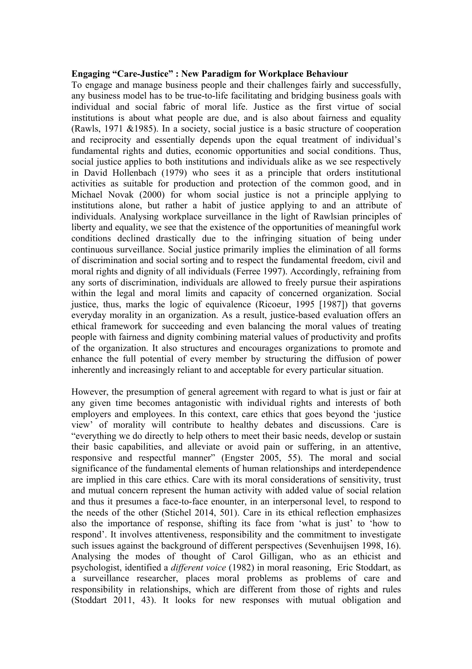#### **Engaging "Care-Justice" : New Paradigm for Workplace Behaviour**

To engage and manage business people and their challenges fairly and successfully, any business model has to be true-to-life facilitating and bridging business goals with individual and social fabric of moral life. Justice as the first virtue of social institutions is about what people are due, and is also about fairness and equality (Rawls, 1971 &1985). In a society, social justice is a basic structure of cooperation and reciprocity and essentially depends upon the equal treatment of individual's fundamental rights and duties, economic opportunities and social conditions. Thus, social justice applies to both institutions and individuals alike as we see respectively in David Hollenbach (1979) who sees it as a principle that orders institutional activities as suitable for production and protection of the common good, and in Michael Novak (2000) for whom social justice is not a principle applying to institutions alone, but rather a habit of justice applying to and an attribute of individuals. Analysing workplace surveillance in the light of Rawlsian principles of liberty and equality, we see that the existence of the opportunities of meaningful work conditions declined drastically due to the infringing situation of being under continuous surveillance. Social justice primarily implies the elimination of all forms of discrimination and social sorting and to respect the fundamental freedom, civil and moral rights and dignity of all individuals (Ferree 1997). Accordingly, refraining from any sorts of discrimination, individuals are allowed to freely pursue their aspirations within the legal and moral limits and capacity of concerned organization. Social justice, thus, marks the logic of equivalence (Ricoeur, 1995 [1987]) that governs everyday morality in an organization. As a result, justice-based evaluation offers an ethical framework for succeeding and even balancing the moral values of treating people with fairness and dignity combining material values of productivity and profits of the organization. It also structures and encourages organizations to promote and enhance the full potential of every member by structuring the diffusion of power inherently and increasingly reliant to and acceptable for every particular situation.

However, the presumption of general agreement with regard to what is just or fair at any given time becomes antagonistic with individual rights and interests of both employers and employees. In this context, care ethics that goes beyond the 'justice view' of morality will contribute to healthy debates and discussions. Care is "everything we do directly to help others to meet their basic needs, develop or sustain their basic capabilities, and alleviate or avoid pain or suffering, in an attentive, responsive and respectful manner" (Engster 2005, 55). The moral and social significance of the fundamental elements of human relationships and interdependence are implied in this care ethics. Care with its moral considerations of sensitivity, trust and mutual concern represent the human activity with added value of social relation and thus it presumes a face-to-face enounter, in an interpersonal level, to respond to the needs of the other (Stichel 2014, 501). Care in its ethical reflection emphasizes also the importance of response, shifting its face from 'what is just' to 'how to respond'. It involves attentiveness, responsibility and the commitment to investigate such issues against the background of different perspectives (Sevenhuijsen 1998, 16). Analysing the modes of thought of Carol Gilligan, who as an ethicist and psychologist, identified a *different voice* (1982) in moral reasoning, Eric Stoddart, as a surveillance researcher, places moral problems as problems of care and responsibility in relationships, which are different from those of rights and rules (Stoddart 2011, 43). It looks for new responses with mutual obligation and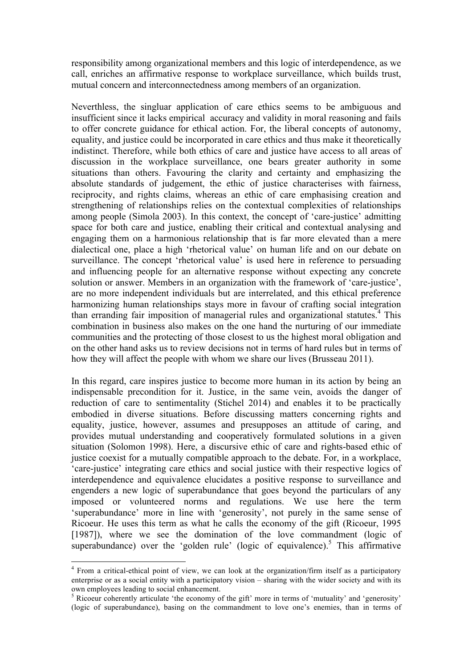responsibility among organizational members and this logic of interdependence, as we call, enriches an affirmative response to workplace surveillance, which builds trust, mutual concern and interconnectedness among members of an organization.

Neverthless, the singluar application of care ethics seems to be ambiguous and insufficient since it lacks empirical accuracy and validity in moral reasoning and fails to offer concrete guidance for ethical action. For, the liberal concepts of autonomy, equality, and justice could be incorporated in care ethics and thus make it theoretically indistinct. Therefore, while both ethics of care and justice have access to all areas of discussion in the workplace surveillance, one bears greater authority in some situations than others. Favouring the clarity and certainty and emphasizing the absolute standards of judgement, the ethic of justice characterises with fairness, reciprocity, and rights claims, whereas an ethic of care emphasising creation and strengthening of relationships relies on the contextual complexities of relationships among people (Simola 2003). In this context, the concept of 'care-justice' admitting space for both care and justice, enabling their critical and contextual analysing and engaging them on a harmonious relationship that is far more elevated than a mere dialectical one, place a high 'rhetorical value' on human life and on our debate on surveillance. The concept 'rhetorical value' is used here in reference to persuading and influencing people for an alternative response without expecting any concrete solution or answer. Members in an organization with the framework of 'care-justice', are no more independent individuals but are interrelated, and this ethical preference harmonizing human relationships stays more in favour of crafting social integration than erranding fair imposition of managerial rules and organizational statutes.<sup>4</sup> This combination in business also makes on the one hand the nurturing of our immediate communities and the protecting of those closest to us the highest moral obligation and on the other hand asks us to review decisions not in terms of hard rules but in terms of how they will affect the people with whom we share our lives (Brusseau 2011).

In this regard, care inspires justice to become more human in its action by being an indispensable precondition for it. Justice, in the same vein, avoids the danger of reduction of care to sentimentality (Stichel 2014) and enables it to be practically embodied in diverse situations. Before discussing matters concerning rights and equality, justice, however, assumes and presupposes an attitude of caring, and provides mutual understanding and cooperatively formulated solutions in a given situation (Solomon 1998). Here, a discursive ethic of care and rights-based ethic of justice coexist for a mutually compatible approach to the debate. For, in a workplace, 'care-justice' integrating care ethics and social justice with their respective logics of interdependence and equivalence elucidates a positive response to surveillance and engenders a new logic of superabundance that goes beyond the particulars of any imposed or volunteered norms and regulations. We use here the term 'superabundance' more in line with 'generosity', not purely in the same sense of Ricoeur. He uses this term as what he calls the economy of the gift (Ricoeur, 1995 [1987]), where we see the domination of the love commandment (logic of superabundance) over the 'golden rule' (logic of equivalence).<sup>5</sup> This affirmative

 <sup>4</sup> From a critical-ethical point of view, we can look at the organization/firm itself as a participatory enterprise or as a social entity with a participatory vision – sharing with the wider society and with its own employees leading to social enhancement. 5 Ricoeur coherently articulate 'the economy of the gift' more in terms of 'mutuality' and 'generosity'

<sup>(</sup>logic of superabundance), basing on the commandment to love one's enemies, than in terms of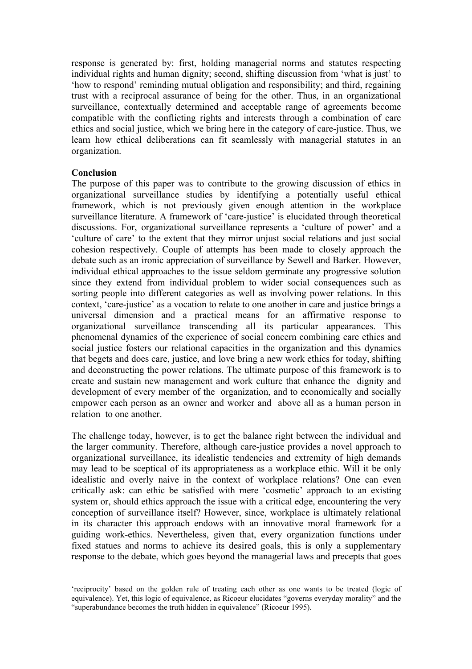response is generated by: first, holding managerial norms and statutes respecting individual rights and human dignity; second, shifting discussion from 'what is just' to 'how to respond' reminding mutual obligation and responsibility; and third, regaining trust with a reciprocal assurance of being for the other. Thus, in an organizational surveillance, contextually determined and acceptable range of agreements become compatible with the conflicting rights and interests through a combination of care ethics and social justice, which we bring here in the category of care-justice. Thus, we learn how ethical deliberations can fit seamlessly with managerial statutes in an organization.

## **Conclusion**

The purpose of this paper was to contribute to the growing discussion of ethics in organizational surveillance studies by identifying a potentially useful ethical framework, which is not previously given enough attention in the workplace surveillance literature. A framework of 'care-justice' is elucidated through theoretical discussions. For, organizational surveillance represents a 'culture of power' and a 'culture of care' to the extent that they mirror unjust social relations and just social cohesion respectively. Couple of attempts has been made to closely approach the debate such as an ironic appreciation of surveillance by Sewell and Barker. However, individual ethical approaches to the issue seldom germinate any progressive solution since they extend from individual problem to wider social consequences such as sorting people into different categories as well as involving power relations. In this context, 'care-justice' as a vocation to relate to one another in care and justice brings a universal dimension and a practical means for an affirmative response to organizational surveillance transcending all its particular appearances. This phenomenal dynamics of the experience of social concern combining care ethics and social justice fosters our relational capacities in the organization and this dynamics that begets and does care, justice, and love bring a new work ethics for today, shifting and deconstructing the power relations. The ultimate purpose of this framework is to create and sustain new management and work culture that enhance the dignity and development of every member of the organization, and to economically and socially empower each person as an owner and worker and above all as a human person in relation to one another.

The challenge today, however, is to get the balance right between the individual and the larger community. Therefore, although care-justice provides a novel approach to organizational surveillance, its idealistic tendencies and extremity of high demands may lead to be sceptical of its appropriateness as a workplace ethic. Will it be only idealistic and overly naive in the context of workplace relations? One can even critically ask: can ethic be satisfied with mere 'cosmetic' approach to an existing system or, should ethics approach the issue with a critical edge, encountering the very conception of surveillance itself? However, since, workplace is ultimately relational in its character this approach endows with an innovative moral framework for a guiding work-ethics. Nevertheless, given that, every organization functions under fixed statues and norms to achieve its desired goals, this is only a supplementary response to the debate, which goes beyond the managerial laws and precepts that goes

 <sup>&#</sup>x27;reciprocity' based on the golden rule of treating each other as one wants to be treated (logic of equivalence). Yet, this logic of equivalence, as Ricoeur elucidates "governs everyday morality" and the "superabundance becomes the truth hidden in equivalence" (Ricoeur 1995).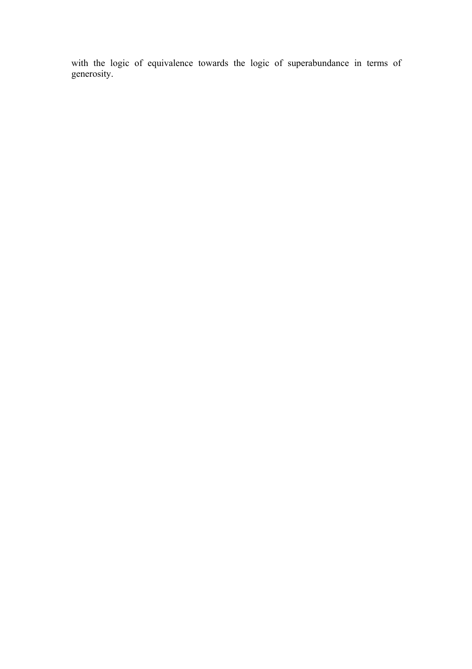with the logic of equivalence towards the logic of superabundance in terms of generosity.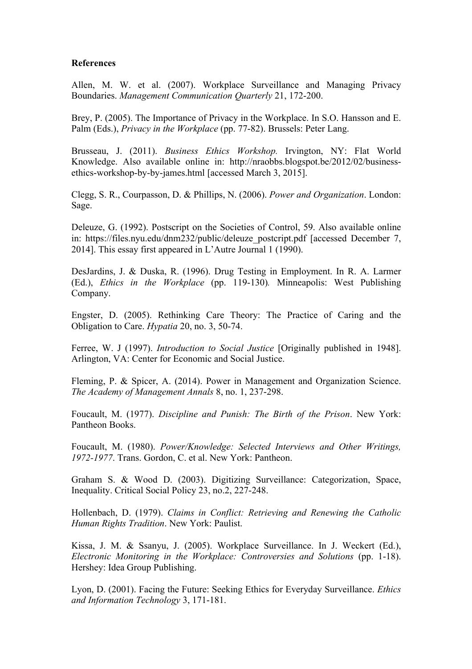## **References**

Allen, M. W. et al. (2007). Workplace Surveillance and Managing Privacy Boundaries. *Management Communication Quarterly* 21, 172-200.

Brey, P. (2005). The Importance of Privacy in the Workplace. In S.O. Hansson and E. Palm (Eds.), *Privacy in the Workplace* (pp. 77-82). Brussels: Peter Lang.

Brusseau, J. (2011). *Business Ethics Workshop.* Irvington, NY: Flat World Knowledge. Also available online in: http://nraobbs.blogspot.be/2012/02/businessethics-workshop-by-by-james.html [accessed March 3, 2015].

Clegg, S. R., Courpasson, D. & Phillips, N. (2006). *Power and Organization*. London: Sage.

Deleuze, G. (1992). Postscript on the Societies of Control, 59. Also available online in: https://files.nyu.edu/dnm232/public/deleuze\_postcript.pdf [accessed December 7, 2014]. This essay first appeared in L'Autre Journal 1 (1990).

DesJardins, J. & Duska, R. (1996). Drug Testing in Employment. In R. A. Larmer (Ed.), *Ethics in the Workplace* (pp. 119-130)*.* Minneapolis: West Publishing Company.

Engster, D. (2005). Rethinking Care Theory: The Practice of Caring and the Obligation to Care. *Hypatia* 20, no. 3, 50-74.

Ferree, W. J (1997). *Introduction to Social Justice* [Originally published in 1948]. Arlington, VA: Center for Economic and Social Justice.

Fleming, P. & Spicer, A. (2014). Power in Management and Organization Science. *The Academy of Management Annals* 8, no. 1, 237-298.

Foucault, M. (1977). *Discipline and Punish: The Birth of the Prison*. New York: Pantheon Books.

Foucault, M. (1980). *Power/Knowledge: Selected Interviews and Other Writings, 1972-1977*. Trans. Gordon, C. et al. New York: Pantheon.

Graham S. & Wood D. (2003). Digitizing Surveillance: Categorization, Space, Inequality. Critical Social Policy 23, no.2, 227-248.

Hollenbach, D. (1979). *Claims in Conflict: Retrieving and Renewing the Catholic Human Rights Tradition*. New York: Paulist.

Kissa, J. M. & Ssanyu, J. (2005). Workplace Surveillance. In J. Weckert (Ed.), *Electronic Monitoring in the Workplace: Controversies and Solutions* (pp. 1-18). Hershey: Idea Group Publishing.

Lyon, D. (2001). Facing the Future: Seeking Ethics for Everyday Surveillance. *Ethics and Information Technology* 3, 171-181.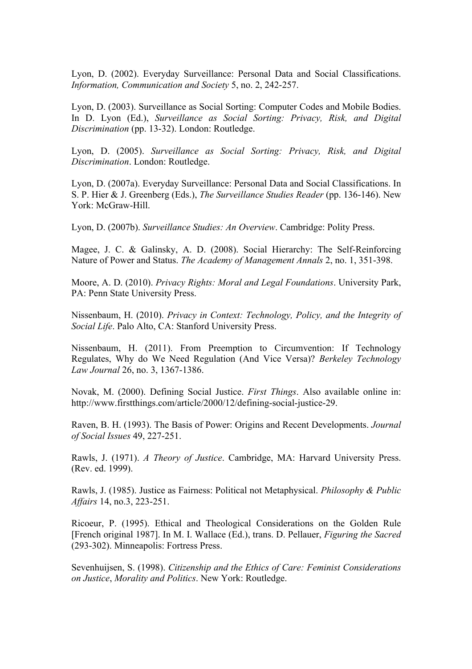Lyon, D. (2002). Everyday Surveillance: Personal Data and Social Classifications. *Information, Communication and Society* 5, no. 2, 242-257.

Lyon, D. (2003). Surveillance as Social Sorting: Computer Codes and Mobile Bodies. In D. Lyon (Ed.), *Surveillance as Social Sorting: Privacy, Risk, and Digital Discrimination* (pp. 13-32). London: Routledge.

Lyon, D. (2005). *Surveillance as Social Sorting: Privacy, Risk, and Digital Discrimination*. London: Routledge.

Lyon, D. (2007a). Everyday Surveillance: Personal Data and Social Classifications. In S. P. Hier & J. Greenberg (Eds.), *The Surveillance Studies Reader* (pp. 136-146). New York: McGraw-Hill.

Lyon, D. (2007b). *Surveillance Studies: An Overview*. Cambridge: Polity Press.

Magee, J. C. & Galinsky, A. D. (2008). Social Hierarchy: The Self-Reinforcing Nature of Power and Status. *The Academy of Management Annals* 2, no. 1, 351-398.

Moore, A. D. (2010). *Privacy Rights: Moral and Legal Foundations*. University Park, PA: Penn State University Press.

Nissenbaum, H. (2010). *Privacy in Context: Technology, Policy, and the Integrity of Social Life*. Palo Alto, CA: Stanford University Press.

Nissenbaum, H. (2011). From Preemption to Circumvention: If Technology Regulates, Why do We Need Regulation (And Vice Versa)? *Berkeley Technology Law Journal* 26, no. 3, 1367-1386.

Novak, M. (2000). Defining Social Justice. *First Things*. Also available online in: http://www.firstthings.com/article/2000/12/defining-social-justice-29.

Raven, B. H. (1993). The Basis of Power: Origins and Recent Developments. *Journal of Social Issues* 49, 227-251.

Rawls, J. (1971). *A Theory of Justice*. Cambridge, MA: Harvard University Press. (Rev. ed. 1999).

Rawls, J. (1985). Justice as Fairness: Political not Metaphysical. *Philosophy & Public Affairs* 14, no.3, 223-251.

Ricoeur, P. (1995). Ethical and Theological Considerations on the Golden Rule [French original 1987]. In M. I. Wallace (Ed.), trans. D. Pellauer, *Figuring the Sacred* (293-302). Minneapolis: Fortress Press.

Sevenhuijsen, S. (1998). *Citizenship and the Ethics of Care: Feminist Considerations on Justice*, *Morality and Politics*. New York: Routledge.